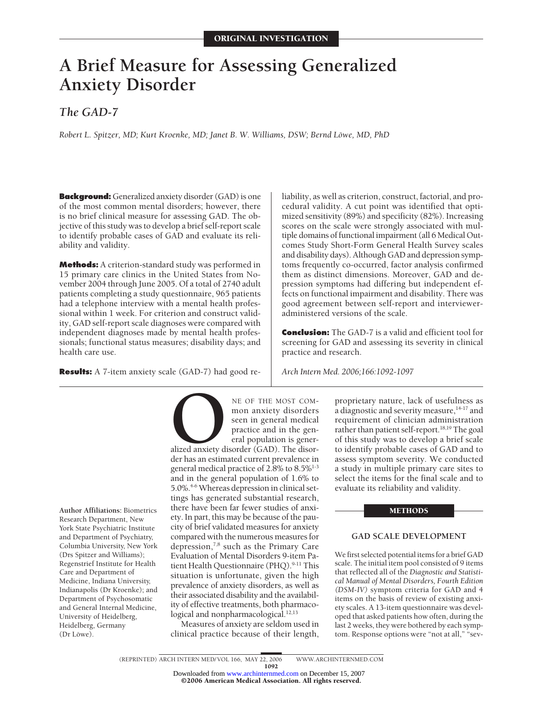# **A Brief Measure for Assessing Generalized Anxiety Disorder**

*The GAD-7*

*Robert L. Spitzer, MD; Kurt Kroenke, MD; Janet B. W. Williams, DSW; Bernd Löwe, MD, PhD* 

**Background:** Generalized anxiety disorder (GAD) is one of the most common mental disorders; however, there is no brief clinical measure for assessing GAD. The objective of this study was to develop a brief self-report scale to identify probable cases of GAD and evaluate its reliability and validity.

**Methods:** A criterion-standard study was performed in 15 primary care clinics in the United States from November 2004 through June 2005. Of a total of 2740 adult patients completing a study questionnaire, 965 patients had a telephone interview with a mental health professional within 1 week. For criterion and construct validity, GAD self-report scale diagnoses were compared with independent diagnoses made by mental health professionals; functional status measures; disability days; and health care use.

**Results:** A 7-item anxiety scale (GAD-7) had good re-

NE OF THE MOST COM-<br>
mon anxiety disorders<br>
seen in general medical<br>
practice and in the gen-<br>
eral population is gener-<br>
alized anxiety disorder (GAD). The disor-<br>
der has an estimated current prevalence in mon anxiety disorders seen in general medical practice and in the general population is gener-

alized anxiety disorder (GAD). The disorder has an estimated current prevalence in general medical practice of 2.8% to  $8.5\%$ <sup>1-3</sup> and in the general population of 1.6% to 5.0%.4-6 Whereas depression in clinical settings has generated substantial research, there have been far fewer studies of anxiety. In part, this may be because of the paucity of brief validated measures for anxiety compared with the numerous measures for depression, $^{7,8}$  such as the Primary Care Evaluation of Mental Disorders 9-item Patient Health Questionnaire (PHQ).<sup>9-11</sup> This situation is unfortunate, given the high prevalence of anxiety disorders, as well as their associated disability and the availability of effective treatments, both pharmacological and nonpharmacological.<sup>12,13</sup>

Measures of anxiety are seldom used in clinical practice because of their length,

liability, as well as criterion, construct, factorial, and procedural validity. A cut point was identified that optimized sensitivity (89%) and specificity (82%). Increasing scores on the scale were strongly associated with multiple domains of functional impairment (all 6 Medical Outcomes Study Short-Form General Health Survey scales and disability days). Although GAD and depression symptoms frequently co-occurred, factor analysis confirmed them as distinct dimensions. Moreover, GAD and depression symptoms had differing but independent effects on functional impairment and disability. There was good agreement between self-report and intervieweradministered versions of the scale.

**Conclusion:** The GAD-7 is a valid and efficient tool for screening for GAD and assessing its severity in clinical practice and research.

*Arch Intern Med. 2006;166:1092-1097*

proprietary nature, lack of usefulness as a diagnostic and severity measure,<sup>14-17</sup> and requirement of clinician administration rather than patient self-report.<sup>18,19</sup> The goal of this study was to develop a brief scale to identify probable cases of GAD and to assess symptom severity. We conducted a study in multiple primary care sites to select the items for the final scale and to evaluate its reliability and validity.

## **METHODS**

# **GAD SCALE DEVELOPMENT**

We first selected potential items for a brief GAD scale. The initial item pool consisted of 9 items that reflected all of the *Diagnostic and Statistical Manual of Mental Disorders, Fourth Edition (DSM-IV)* symptom criteria for GAD and 4 items on the basis of review of existing anxiety scales. A 13-item questionnaire was developed that asked patients how often, during the last 2 weeks, they were bothered by each symptom. Response options were "not at all," "sev-

**Author Affiliations:** Biometrics Research Department, New York State Psychiatric Institute and Department of Psychiatry, Columbia University, New York (Drs Spitzer and Williams); Regenstrief Institute for Health Care and Department of Medicine, Indiana University, Indianapolis (Dr Kroenke); and Department of Psychosomatic and General Internal Medicine, University of Heidelberg, Heidelberg, Germany (Dr Löwe).

©2006 American Medical Association. All rights reserved. Downloaded from [www.archinternmed.com](http://www.archinternmed.com) on December 15, 2007

<sup>1092</sup>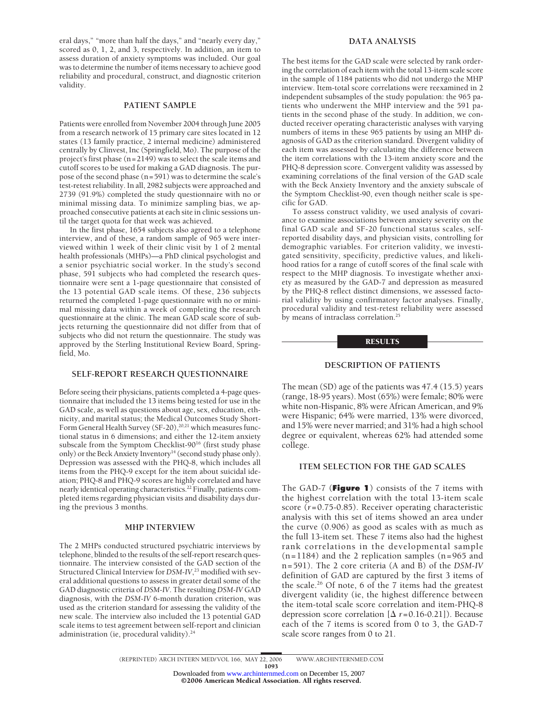eral days," "more than half the days," and "nearly every day," scored as 0, 1, 2, and 3, respectively. In addition, an item to assess duration of anxiety symptoms was included. Our goal was to determine the number of items necessary to achieve good reliability and procedural, construct, and diagnostic criterion validity.

## **PATIENT SAMPLE**

Patients were enrolled from November 2004 through June 2005 from a research network of 15 primary care sites located in 12 states (13 family practice, 2 internal medicine) administered centrally by Clinvest, Inc (Springfield, Mo). The purpose of the project's first phase (n=2149) was to select the scale items and cutoff scores to be used for making a GAD diagnosis. The purpose of the second phase (n=591) was to determine the scale's test-retest reliability. In all, 2982 subjects were approached and 2739 (91.9%) completed the study questionnaire with no or minimal missing data. To minimize sampling bias, we approached consecutive patients at each site in clinic sessions until the target quota for that week was achieved.

In the first phase, 1654 subjects also agreed to a telephone interview, and of these, a random sample of 965 were interviewed within 1 week of their clinic visit by 1 of 2 mental health professionals (MHPs)—a PhD clinical psychologist and a senior psychiatric social worker. In the study's second phase, 591 subjects who had completed the research questionnaire were sent a 1-page questionnaire that consisted of the 13 potential GAD scale items. Of these, 236 subjects returned the completed 1-page questionnaire with no or minimal missing data within a week of completing the research questionnaire at the clinic. The mean GAD scale score of subjects returning the questionnaire did not differ from that of subjects who did not return the questionnaire. The study was approved by the Sterling Institutional Review Board, Springfield, Mo.

## **SELF-REPORT RESEARCH QUESTIONNAIRE**

Before seeing their physicians, patients completed a 4-page questionnaire that included the 13 items being tested for use in the GAD scale, as well as questions about age, sex, education, ethnicity, and marital status; the Medical Outcomes Study Short-Form General Health Survey (SF-20),<sup>20,21</sup> which measures functional status in 6 dimensions; and either the 12-item anxiety subscale from the Symptom Checklist-90<sup>16</sup> (first study phase only) or the Beck Anxiety Inventory<sup>14</sup> (second study phase only). Depression was assessed with the PHQ-8, which includes all items from the PHQ-9 except for the item about suicidal ideation; PHQ-8 and PHQ-9 scores are highly correlated and have nearly identical operating characteristics.22 Finally, patients completed items regarding physician visits and disability days during the previous 3 months.

## **MHP INTERVIEW**

The 2 MHPs conducted structured psychiatric interviews by telephone, blinded to the results of the self-report research questionnaire. The interview consisted of the GAD section of the Structured Clinical Interview for *DSM-IV*, <sup>23</sup> modified with several additional questions to assess in greater detail some of the GAD diagnostic criteria of *DSM-IV*. The resulting *DSM-IV* GAD diagnosis, with the *DSM-IV* 6-month duration criterion, was used as the criterion standard for assessing the validity of the new scale. The interview also included the 13 potential GAD scale items to test agreement between self-report and clinician administration (ie, procedural validity).<sup>24</sup>

## **DATA ANALYSIS**

The best items for the GAD scale were selected by rank ordering the correlation of each item with the total 13-item scale score in the sample of 1184 patients who did not undergo the MHP interview. Item-total score correlations were reexamined in 2 independent subsamples of the study population: the 965 patients who underwent the MHP interview and the 591 patients in the second phase of the study. In addition, we conducted receiver operating characteristic analyses with varying numbers of items in these 965 patients by using an MHP diagnosis of GAD as the criterion standard. Divergent validity of each item was assessed by calculating the difference between the item correlations with the 13-item anxiety score and the PHQ-8 depression score. Convergent validity was assessed by examining correlations of the final version of the GAD scale with the Beck Anxiety Inventory and the anxiety subscale of the Symptom Checklist-90, even though neither scale is specific for GAD.

To assess construct validity, we used analysis of covariance to examine associations between anxiety severity on the final GAD scale and SF-20 functional status scales, selfreported disability days, and physician visits, controlling for demographic variables. For criterion validity, we investigated sensitivity, specificity, predictive values, and likelihood ratios for a range of cutoff scores of the final scale with respect to the MHP diagnosis. To investigate whether anxiety as measured by the GAD-7 and depression as measured by the PHQ-8 reflect distinct dimensions, we assessed factorial validity by using confirmatory factor analyses. Finally, procedural validity and test-retest reliability were assessed by means of intraclass correlation.<sup>25</sup>

## **RESULTS**

# **DESCRIPTION OF PATIENTS**

The mean (SD) age of the patients was 47.4 (15.5) years (range, 18-95 years). Most (65%) were female; 80% were white non-Hispanic, 8% were African American, and 9% were Hispanic; 64% were married, 13% were divorced, and 15% were never married; and 31% had a high school degree or equivalent, whereas 62% had attended some college.

# **ITEM SELECTION FOR THE GAD SCALES**

The GAD-7 (**Figure 1**) consists of the 7 items with the highest correlation with the total 13-item scale score (*r*=0.75-0.85). Receiver operating characteristic analysis with this set of items showed an area under the curve (0.906) as good as scales with as much as the full 13-item set. These 7 items also had the highest rank correlations in the developmental sample  $(n=1184)$  and the 2 replication samples  $(n=965)$  and n=591). The 2 core criteria (A and B) of the *DSM-IV* definition of GAD are captured by the first 3 items of the scale.<sup>26</sup> Of note, 6 of the 7 items had the greatest divergent validity (ie, the highest difference between the item-total scale score correlation and item-PHQ-8 depression score correlation  $[\Delta r=0.16-0.21]$ ). Because each of the 7 items is scored from 0 to 3, the GAD-7 scale score ranges from 0 to 21.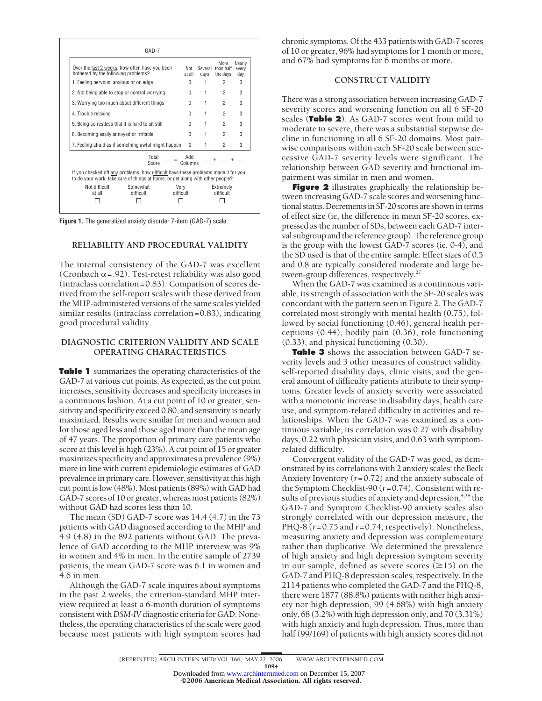| Over the last 2 weeks, how often have you been<br>bothered by the following problems?                                                                               |                       | Not<br>at all     | Several<br>davs | More<br>than half<br>the days | Nearly<br>every<br>dav |
|---------------------------------------------------------------------------------------------------------------------------------------------------------------------|-----------------------|-------------------|-----------------|-------------------------------|------------------------|
| 1. Feeling nervous, anxious or on edge                                                                                                                              |                       |                   | 1               | 2                             | 3                      |
| 2. Not being able to stop or control worrying                                                                                                                       |                       |                   | 1               | 2                             | 3                      |
| 3. Worrying too much about different things                                                                                                                         |                       |                   | 1               | 2                             | 3                      |
| 4. Trouble relaxing                                                                                                                                                 |                       |                   | 1               | $\overline{2}$                | 3                      |
| 5. Being so restless that it is hard to sit still                                                                                                                   |                       |                   | 1               | 2                             | 3                      |
| 6. Becoming easily annoyed or irritable                                                                                                                             |                       |                   | 1               | 2                             | 3                      |
| 7. Feeling afraid as if something awful might happen                                                                                                                |                       |                   | 1               | $\overline{2}$                | 3                      |
|                                                                                                                                                                     | Total<br>Score        | hhA<br>Columns    |                 |                               |                        |
| If you checked off any problems, how difficult have these problems made it for you<br>to do your work, take care of things at home, or get along with other people? |                       |                   |                 |                               |                        |
| Not difficult<br>at all                                                                                                                                             | Somewhat<br>difficult | Verv<br>difficult |                 | Extremely<br>difficult        |                        |

**Figure 1.** The generalized anxiety disorder 7-item (GAD-7) scale.

## **RELIABILITY AND PROCEDURAL VALIDITY**

The internal consistency of the GAD-7 was excellent (Cronbach  $\alpha$  = .92). Test-retest reliability was also good (intraclass correlation=0.83). Comparison of scores derived from the self-report scales with those derived from the MHP-administered versions of the same scales yielded similar results (intraclass correlation=0.83), indicating good procedural validity.

# **DIAGNOSTIC CRITERION VALIDITY AND SCALE OPERATING CHARACTERISTICS**

**Table 1** summarizes the operating characteristics of the GAD-7 at various cut points. As expected, as the cut point increases, sensitivity decreases and specificity increases in a continuous fashion. At a cut point of 10 or greater, sensitivity and specificity exceed 0.80, and sensitivity is nearly maximized. Results were similar for men and women and for those aged less and those aged more than the mean age of 47 years. The proportion of primary care patients who score at this level is high (23%). A cut point of 15 or greater maximizes specificity and approximates a prevalence (9%) more in line with current epidemiologic estimates of GAD prevalence in primary care. However, sensitivity at this high cut point is low (48%). Most patients (89%) with GAD had GAD-7 scores of 10 or greater, whereas most patients (82%) without GAD had scores less than 10.

The mean (SD) GAD-7 score was 14.4 (4.7) in the 73 patients with GAD diagnosed according to the MHP and 4.9 (4.8) in the 892 patients without GAD. The prevalence of GAD according to the MHP interview was 9% in women and 4% in men. In the entire sample of 2739 patients, the mean GAD-7 score was 6.1 in women and 4.6 in men.

Although the GAD-7 scale inquires about symptoms in the past 2 weeks, the criterion-standard MHP interview required at least a 6-month duration of symptoms consistent with*DSM-IV*diagnostic criteria for GAD. Nonetheless, the operating characteristics of the scale were good because most patients with high symptom scores had chronic symptoms. Of the 433 patients with GAD-7 scores of 10 or greater, 96% had symptoms for 1 month or more, and 67% had symptoms for 6 months or more.

## **CONSTRUCT VALIDITY**

There was a strong association between increasing GAD-7 severity scores and worsening function on all 6 SF-20 scales (**Table 2**). As GAD-7 scores went from mild to moderate to severe, there was a substantial stepwise decline in functioning in all 6 SF-20 domains. Most pairwise comparisons within each SF-20 scale between successive GAD-7 severity levels were significant. The relationship between GAD severity and functional impairment was similar in men and women.

**Figure 2** illustrates graphically the relationship between increasing GAD-7 scale scores and worsening functional status. Decrements in SF-20 scores are shown in terms of effect size (ie, the difference in mean SF-20 scores, expressed as the number of SDs, between each GAD-7 interval subgroup and the reference group). The reference group is the group with the lowest GAD-7 scores (ie, 0-4), and the SD used is that of the entire sample. Effect sizes of 0.5 and 0.8 are typically considered moderate and large between-group differences, respectively.<sup>27</sup>

When the GAD-7 was examined as a continuous variable, its strength of association with the SF-20 scales was concordant with the pattern seen in Figure 2. The GAD-7 correlated most strongly with mental health (0.75), followed by social functioning (0.46), general health perceptions (0.44), bodily pain (0.36), role functioning (0.33), and physical functioning (0.30).

**Table 3** shows the association between GAD-7 severity levels and 3 other measures of construct validity: self-reported disability days, clinic visits, and the general amount of difficulty patients attribute to their symptoms. Greater levels of anxiety severity were associated with a monotonic increase in disability days, health care use, and symptom-related difficulty in activities and relationships. When the GAD-7 was examined as a continuous variable, its correlation was 0.27 with disability days, 0.22 with physician visits, and 0.63 with symptomrelated difficulty.

Convergent validity of the GAD-7 was good, as demonstrated by its correlations with 2 anxiety scales: the Beck Anxiety Inventory (*r*=0.72) and the anxiety subscale of the Symptom Checklist-90 (*r*=0.74). Consistent with results of previous studies of anxiety and depression,<sup>4,28</sup> the GAD-7 and Symptom Checklist-90 anxiety scales also strongly correlated with our depression measure, the PHQ-8 (*r*=0.75 and *r*=0.74, respectively). Nonetheless, measuring anxiety and depression was complementary rather than duplicative. We determined the prevalence of high anxiety and high depression symptom severity in our sample, defined as severe scores  $(\geq 15)$  on the GAD-7 and PHQ-8 depression scales, respectively. In the 2114 patients who completed the GAD-7 and the PHQ-8, there were 1877 (88.8%) patients with neither high anxiety nor high depression, 99 (4.68%) with high anxiety only, 68 (3.2%) with high depression only, and 70 (3.31%) with high anxiety and high depression. Thus, more than half (99/169) of patients with high anxiety scores did not

(REPRINTED) ARCH INTERN MED/ VOL 166, MAY 22, 2006 WWW.ARCHINTERNMED.COM

1094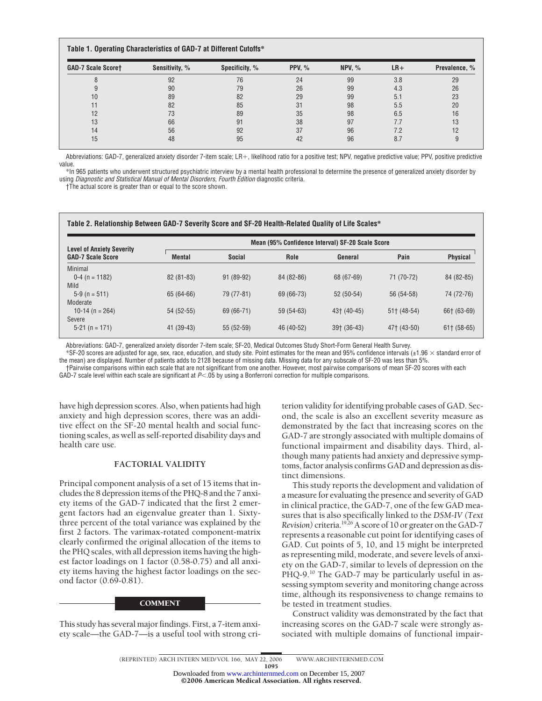## **Table 1. Operating Characteristics of GAD-7 at Different Cutoffs\***

| <b>GAD-7 Scale Scoret</b> | Sensitivity, % | Specificity, % | <b>PPV, %</b> | NPV, $%$ | $LR+$ | Prevalence, % |
|---------------------------|----------------|----------------|---------------|----------|-------|---------------|
|                           | 92             | 76             | 24            | 99       | 3.8   | 29            |
|                           | 90             | 79             | 26            | 99       | 4.3   | 26            |
| 10                        | 89             | 82             | 29            | 99       | 5.1   | 23            |
|                           | 82             | 85             | 31            | 98       | 5.5   | 20            |
| 12                        | 73             | 89             | 35            | 98       | 6.5   | 16            |
| 13                        | 66             | 91             | 38            | 97       | 7.7   | 13            |
| 14                        | 56             | 92             | 37            | 96       | 7.2   | 12            |
| 15                        | 48             | 95             | 42            | 96       | 8.7   |               |

Abbreviations: GAD-7, generalized anxiety disorder 7-item scale; LR+, likelihood ratio for a positive test; NPV, negative predictive value; PPV, positive predictive value.

\*In 965 patients who underwent structured psychiatric interview by a mental health professional to determine the presence of generalized anxiety disorder by using *Diagnostic and Statistical Manual of Mental Disorders, Fourth Edition* diagnostic criteria.

†The actual score is greater than or equal to the score shown.

#### **Table 2. Relationship Between GAD-7 Severity Score and SF-20 Health-Related Quality of Life Scales\***

| <b>Level of Anxiety Severity</b> | Mean (95% Confidence Interval) SF-20 Scale Score |               |             |               |               |                 |
|----------------------------------|--------------------------------------------------|---------------|-------------|---------------|---------------|-----------------|
| <b>GAD-7 Scale Score</b>         | <b>Mental</b>                                    | <b>Social</b> | Role        | General       | Pain          | <b>Physical</b> |
| <b>Minimal</b>                   |                                                  |               |             |               |               |                 |
| $0-4$ (n = 1182)                 | $82(81-83)$                                      | 91 (89-92)    | 84 (82-86)  | 68 (67-69)    | 71 (70-72)    | 84 (82-85)      |
| Mild                             |                                                  |               |             |               |               |                 |
| $5-9$ (n = 511)                  | 65 (64-66)                                       | 79 (77-81)    | 69 (66-73)  | $52(50-54)$   | 56 (54-58)    | 74 (72-76)      |
| Moderate                         |                                                  |               |             |               |               |                 |
| 10-14 (n = 264)                  | $54(52-55)$                                      | 69 (66-71)    | $59(54-63)$ | 43† (40-45)   | $51+$ (48-54) | 66† (63-69)     |
| Severe                           |                                                  |               |             |               |               |                 |
| $5-21$ (n = 171)                 | 41 (39-43)                                       | $55(52-59)$   | 46 (40-52)  | $39+$ (36-43) | 47† (43-50)   | $61$ (58-65)    |
|                                  |                                                  |               |             |               |               |                 |

Abbreviations: GAD-7, generalized anxiety disorder 7-item scale; SF-20, Medical Outcomes Study Short-Form General Health Survey.

 $*$ SF-20 scores are adjusted for age, sex, race, education, and study site. Point estimates for the mean and 95% confidence intervals (±1.96  $\times$  standard error of the mean) are displayed. Number of patients adds to 2128 because of missing data. Missing data for any subscale of SF-20 was less than 5%.

†Pairwise comparisons within each scale that are not significant from one another. However, most pairwise comparisons of mean SF-20 scores with each GAD-7 scale level within each scale are significant at P<.05 by using a Bonferroni correction for multiple comparisons.

have high depression scores. Also, when patients had high anxiety and high depression scores, there was an additive effect on the SF-20 mental health and social functioning scales, as well as self-reported disability days and health care use.

## **FACTORIAL VALIDITY**

Principal component analysis of a set of 15 items that includes the 8 depression items of the PHQ-8 and the 7 anxiety items of the GAD-7 indicated that the first 2 emergent factors had an eigenvalue greater than 1. Sixtythree percent of the total variance was explained by the first 2 factors. The varimax-rotated component-matrix clearly confirmed the original allocation of the items to the PHQ scales, with all depression items having the highest factor loadings on 1 factor (0.58-0.75) and all anxiety items having the highest factor loadings on the second factor (0.69-0.81).

## **COMMENT**

This study has several major findings. First, a 7-item anxiety scale—the GAD-7—is a useful tool with strong criterion validity for identifying probable cases of GAD. Second, the scale is also an excellent severity measure as demonstrated by the fact that increasing scores on the GAD-7 are strongly associated with multiple domains of functional impairment and disability days. Third, although many patients had anxiety and depressive symptoms, factor analysis confirms GAD and depression as distinct dimensions.

This study reports the development and validation of a measure for evaluating the presence and severity of GAD in clinical practice, the GAD-7, one of the few GAD measures that is also specifically linked to the *DSM-IV (Text Revision)* criteria.19,26A score of 10 or greater on the GAD-7 represents a reasonable cut point for identifying cases of GAD. Cut points of 5, 10, and 15 might be interpreted as representing mild, moderate, and severe levels of anxiety on the GAD-7, similar to levels of depression on the PHQ-9.<sup>10</sup> The GAD-7 may be particularly useful in assessing symptom severity and monitoring change across time, although its responsiveness to change remains to be tested in treatment studies.

Construct validity was demonstrated by the fact that increasing scores on the GAD-7 scale were strongly associated with multiple domains of functional impair-

1095

©2006 American Medical Association. All rights reserved. Downloaded from [www.archinternmed.com](http://www.archinternmed.com) on December 15, 2007

<sup>(</sup>REPRINTED) ARCH INTERN MED/ VOL 166, MAY 22, 2006 WWW.ARCHINTERNMED.COM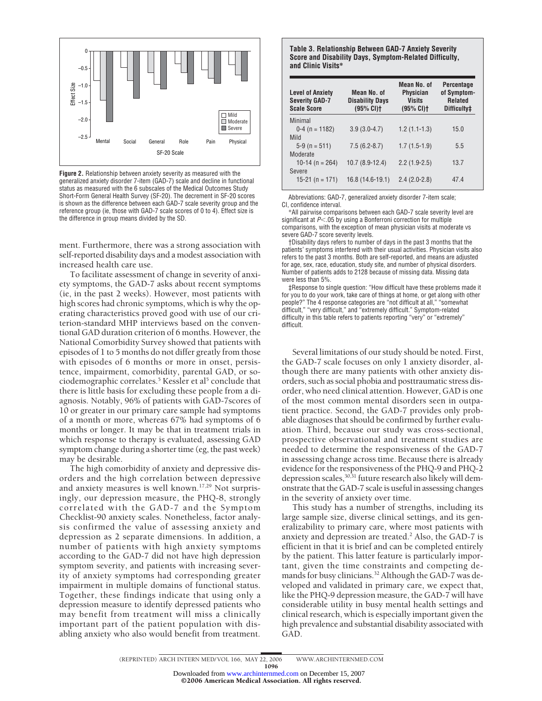

**Figure 2.** Relationship between anxiety severity as measured with the generalized anxiety disorder 7-item (GAD-7) scale and decline in functional status as measured with the 6 subscales of the Medical Outcomes Study Short-Form General Health Survey (SF-20). The decrement in SF-20 scores is shown as the difference between each GAD-7 scale severity group and the reference group (ie, those with GAD-7 scale scores of 0 to 4). Effect size is the difference in group means divided by the SD.

ment. Furthermore, there was a strong association with self-reported disability days and a modest association with increased health care use.

To facilitate assessment of change in severity of anxiety symptoms, the GAD-7 asks about recent symptoms (ie, in the past 2 weeks). However, most patients with high scores had chronic symptoms, which is why the operating characteristics proved good with use of our criterion-standard MHP interviews based on the conventional GAD duration criterion of 6 months. However, the National Comorbidity Survey showed that patients with episodes of 1 to 5 months do not differ greatly from those with episodes of 6 months or more in onset, persistence, impairment, comorbidity, parental GAD, or sociodemographic correlates.<sup>5</sup> Kessler et al<sup>5</sup> conclude that there is little basis for excluding these people from a diagnosis. Notably, 96% of patients with GAD-7scores of 10 or greater in our primary care sample had symptoms of a month or more, whereas 67% had symptoms of 6 months or longer. It may be that in treatment trials in which response to therapy is evaluated, assessing GAD symptom change during a shorter time (eg, the past week) may be desirable.

The high comorbidity of anxiety and depressive disorders and the high correlation between depressive and anxiety measures is well known.17,29 Not surprisingly, our depression measure, the PHQ-8, strongly correlated with the GAD-7 and the Symptom Checklist-90 anxiety scales. Nonetheless, factor analysis confirmed the value of assessing anxiety and depression as 2 separate dimensions. In addition, a number of patients with high anxiety symptoms according to the GAD-7 did not have high depression symptom severity, and patients with increasing severity of anxiety symptoms had corresponding greater impairment in multiple domains of functional status. Together, these findings indicate that using only a depression measure to identify depressed patients who may benefit from treatment will miss a clinically important part of the patient population with disabling anxiety who also would benefit from treatment.

**Table 3. Relationship Between GAD-7 Anxiety Severity Score and Disability Days, Symptom-Related Difficulty, and Clinic Visits\***

| <b>Level of Anxiety</b><br><b>Severity GAD-7</b><br><b>Scale Score</b> | Mean No. of<br><b>Disability Days</b><br>(95% CI) | Mean No. of<br><b>Physician</b><br><b>Visits</b><br>(95% CI) | <b>Percentage</b><br>of Symptom-<br><b>Related</b><br>Difficulty# |
|------------------------------------------------------------------------|---------------------------------------------------|--------------------------------------------------------------|-------------------------------------------------------------------|
| Minimal<br>$0-4$ (n = 1182)                                            | $3.9(3.0-4.7)$                                    | $1.2(1.1-1.3)$                                               | 15.0                                                              |
| Mild<br>$5-9$ (n = 511)                                                | $7.5(6.2-8.7)$                                    | $1.7(1.5-1.9)$                                               | 5.5                                                               |
| Moderate<br>10-14 (n = $264$ )                                         | 10.7 (8.9-12.4)                                   | $2.2(1.9-2.5)$                                               | 13.7                                                              |
| Severe<br>15-21 (n = 171)                                              | 16.8 (14.6-19.1)                                  | $2.4(2.0-2.8)$                                               | 474                                                               |

Abbreviations: GAD-7, generalized anxiety disorder 7-item scale; CI, confidence interval.

\*All pairwise comparisons between each GAD-7 scale severity level are significant at  $P$  < 05 by using a Bonferroni correction for multiple comparisons, with the exception of mean physician visits at moderate vs severe GAD-7 score severity levels.

†Disability days refers to number of days in the past 3 months that the patients' symptoms interfered with their usual activities. Physician visits also refers to the past 3 months. Both are self-reported, and means are adjusted for age, sex, race, education, study site, and number of physical disorders. Number of patients adds to 2128 because of missing data. Missing data were less than 5%.

‡Response to single question: "How difficult have these problems made it for you to do your work, take care of things at home, or get along with other people?" The 4 response categories are "not difficult at all," "somewhat difficult," "very difficult," and "extremely difficult." Symptom-related difficulty in this table refers to patients reporting "very" or "extremely" difficult.

Several limitations of our study should be noted. First, the GAD-7 scale focuses on only 1 anxiety disorder, although there are many patients with other anxiety disorders, such as social phobia and posttraumatic stress disorder, who need clinical attention. However, GAD is one of the most common mental disorders seen in outpatient practice. Second, the GAD-7 provides only probable diagnoses that should be confirmed by further evaluation. Third, because our study was cross-sectional, prospective observational and treatment studies are needed to determine the responsiveness of the GAD-7 in assessing change across time. Because there is already evidence for the responsiveness of the PHQ-9 and PHQ-2 depression scales,  $30,31$  future research also likely will demonstrate that the GAD-7 scale is useful in assessing changes in the severity of anxiety over time.

This study has a number of strengths, including its large sample size, diverse clinical settings, and its generalizability to primary care, where most patients with anxiety and depression are treated.2 Also, the GAD-7 is efficient in that it is brief and can be completed entirely by the patient. This latter feature is particularly important, given the time constraints and competing demands for busy clinicians.<sup>32</sup> Although the GAD-7 was developed and validated in primary care, we expect that, like the PHQ-9 depression measure, the GAD-7 will have considerable utility in busy mental health settings and clinical research, which is especially important given the high prevalence and substantial disability associated with GAD.

(REPRINTED) ARCH INTERN MED/ VOL 166, MAY 22, 2006 WWW.ARCHINTERNMED.COM 1096 Downloaded from [www.archinternmed.com](http://www.archinternmed.com) on December 15, 2007

©2006 American Medical Association. All rights reserved.